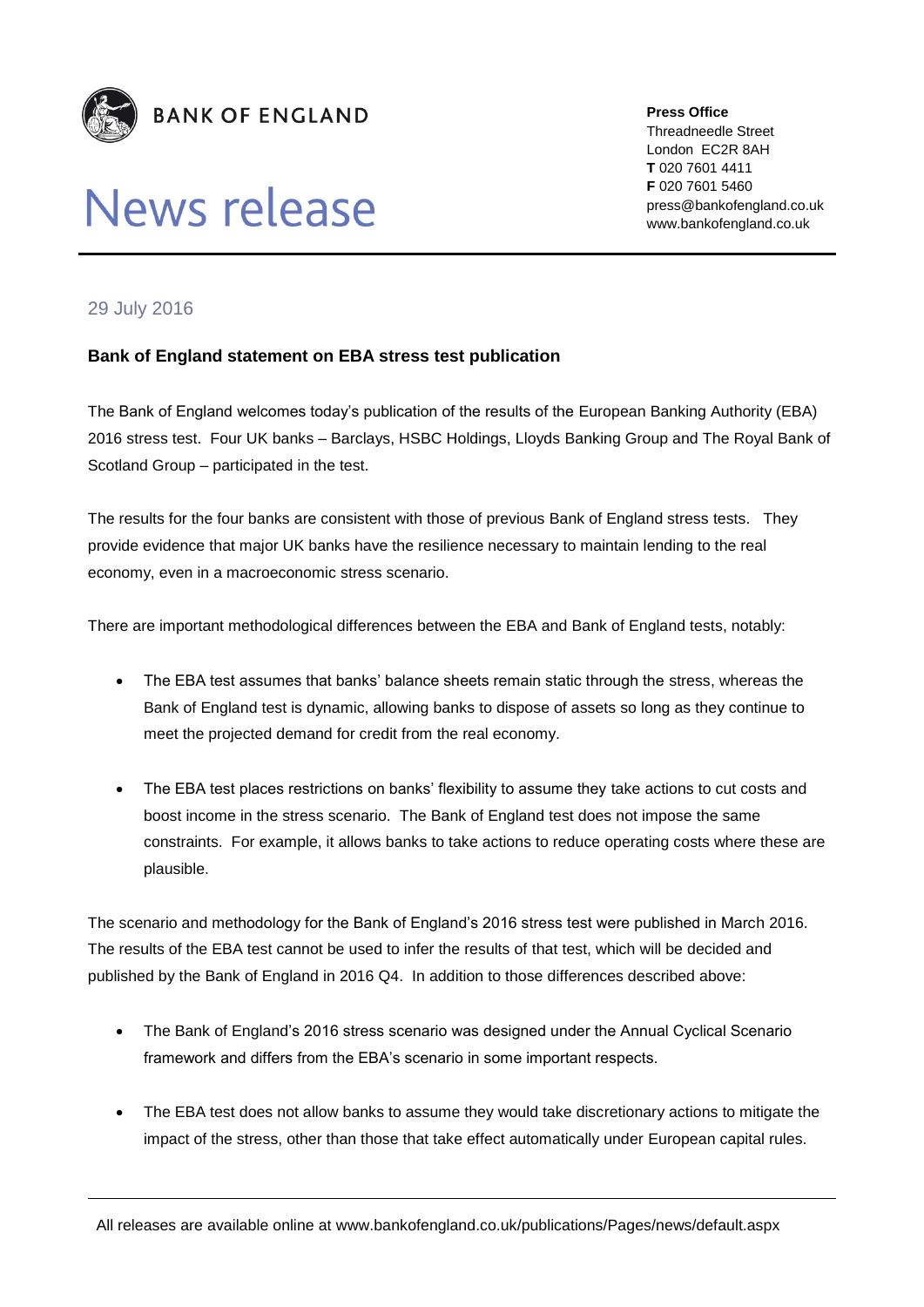

## News release

**Press Office** Threadneedle Street London EC2R 8AH **T** 020 7601 4411 **F** 020 7601 5460 press@bankofengland.co.uk www.bankofengland.co.uk

## 29 July 2016

## **Bank of England statement on EBA stress test publication**

The Bank of England welcomes today's publication of the results of the European Banking Authority (EBA) 2016 stress test. Four UK banks – Barclays, HSBC Holdings, Lloyds Banking Group and The Royal Bank of Scotland Group – participated in the test.

The results for the four banks are consistent with those of previous Bank of England stress tests. They provide evidence that major UK banks have the resilience necessary to maintain lending to the real economy, even in a macroeconomic stress scenario.

There are important methodological differences between the EBA and Bank of England tests, notably:

- The EBA test assumes that banks' balance sheets remain static through the stress, whereas the Bank of England test is dynamic, allowing banks to dispose of assets so long as they continue to meet the projected demand for credit from the real economy.
- The EBA test places restrictions on banks' flexibility to assume they take actions to cut costs and boost income in the stress scenario. The Bank of England test does not impose the same constraints. For example, it allows banks to take actions to reduce operating costs where these are plausible.

The scenario and methodology for the Bank of England's 2016 stress test were published in March 2016. The results of the EBA test cannot be used to infer the results of that test, which will be decided and published by the Bank of England in 2016 Q4. In addition to those differences described above:

- The Bank of England's 2016 stress scenario was designed under the Annual Cyclical Scenario framework and differs from the EBA's scenario in some important respects.
- The EBA test does not allow banks to assume they would take discretionary actions to mitigate the impact of the stress, other than those that take effect automatically under European capital rules.